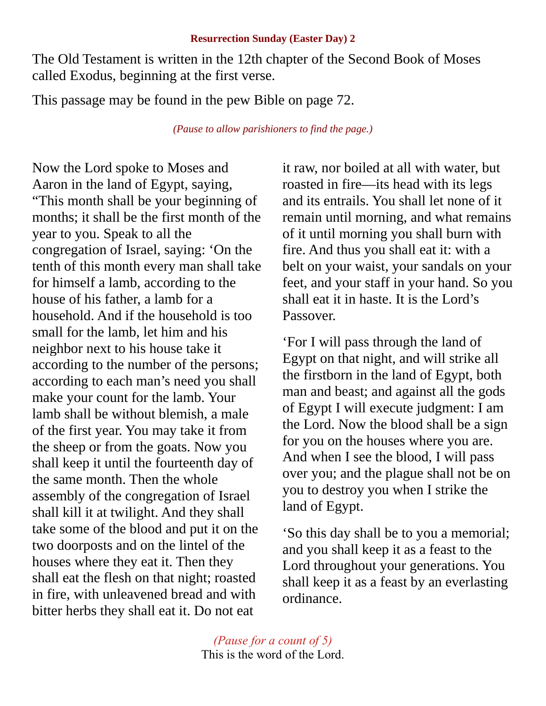## **Resurrection Sunday (Easter Day) 2**

The Old Testament is written in the 12th chapter of the Second Book of Moses called Exodus, beginning at the first verse.

This passage may be found in the pew Bible on page 72.

*(Pause to allow parishioners to find the page.)*

Now the Lord spoke to Moses and Aaron in the land of Egypt, saying, "This month shall be your beginning of months; it shall be the first month of the year to you. Speak to all the congregation of Israel, saying: 'On the tenth of this month every man shall take for himself a lamb, according to the house of his father, a lamb for a household. And if the household is too small for the lamb, let him and his neighbor next to his house take it according to the number of the persons; according to each man's need you shall make your count for the lamb. Your lamb shall be without blemish, a male of the first year. You may take it from the sheep or from the goats. Now you shall keep it until the fourteenth day of the same month. Then the whole assembly of the congregation of Israel shall kill it at twilight. And they shall take some of the blood and put it on the two doorposts and on the lintel of the houses where they eat it. Then they shall eat the flesh on that night; roasted in fire, with unleavened bread and with bitter herbs they shall eat it. Do not eat

it raw, nor boiled at all with water, but roasted in fire—its head with its legs and its entrails. You shall let none of it remain until morning, and what remains of it until morning you shall burn with fire. And thus you shall eat it: with a belt on your waist, your sandals on your feet, and your staff in your hand. So you shall eat it in haste. It is the Lord's Passover.

'For I will pass through the land of Egypt on that night, and will strike all the firstborn in the land of Egypt, both man and beast; and against all the gods of Egypt I will execute judgment: I am the Lord. Now the blood shall be a sign for you on the houses where you are. And when I see the blood, I will pass over you; and the plague shall not be on you to destroy you when I strike the land of Egypt.

'So this day shall be to you a memorial; and you shall keep it as a feast to the Lord throughout your generations. You shall keep it as a feast by an everlasting ordinance.

*(Pause for a count of 5)* This is the word of the Lord.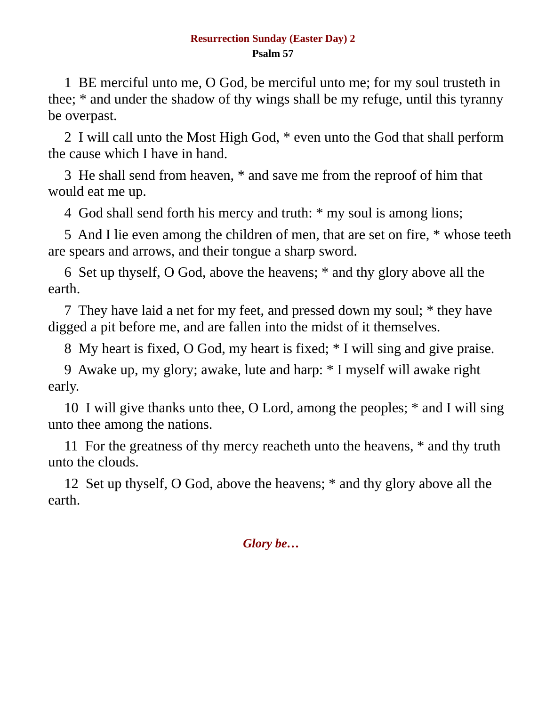## **Resurrection Sunday (Easter Day) 2 Psalm 57**

1 BE merciful unto me, O God, be merciful unto me; for my soul trusteth in thee; \* and under the shadow of thy wings shall be my refuge, until this tyranny be overpast.

2 I will call unto the Most High God, \* even unto the God that shall perform the cause which I have in hand.

3 He shall send from heaven, \* and save me from the reproof of him that would eat me up.

4 God shall send forth his mercy and truth: \* my soul is among lions;

5 And I lie even among the children of men, that are set on fire, \* whose teeth are spears and arrows, and their tongue a sharp sword.

6 Set up thyself, O God, above the heavens; \* and thy glory above all the earth.

7 They have laid a net for my feet, and pressed down my soul; \* they have digged a pit before me, and are fallen into the midst of it themselves.

8 My heart is fixed, O God, my heart is fixed; \* I will sing and give praise.

9 Awake up, my glory; awake, lute and harp: \* I myself will awake right early.

10 I will give thanks unto thee, O Lord, among the peoples; \* and I will sing unto thee among the nations.

11 For the greatness of thy mercy reacheth unto the heavens, \* and thy truth unto the clouds.

12 Set up thyself, O God, above the heavens; \* and thy glory above all the earth.

*Glory be…*